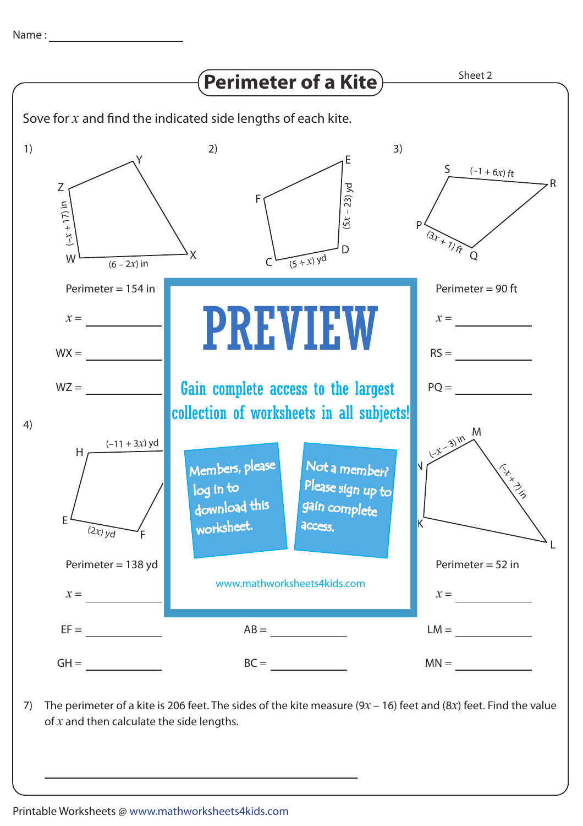